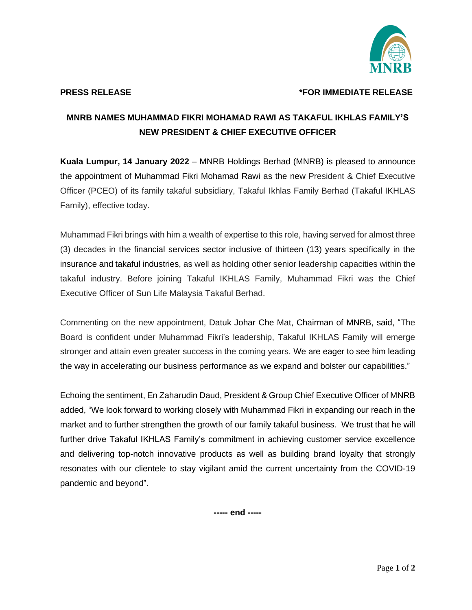

## **PRESS RELEASE \*FOR IMMEDIATE RELEASE**

## **MNRB NAMES MUHAMMAD FIKRI MOHAMAD RAWI AS TAKAFUL IKHLAS FAMILY'S NEW PRESIDENT & CHIEF EXECUTIVE OFFICER**

**Kuala Lumpur, 14 January 2022** – MNRB Holdings Berhad (MNRB) is pleased to announce the appointment of Muhammad Fikri Mohamad Rawi as the new President & Chief Executive Officer (PCEO) of its family takaful subsidiary, Takaful Ikhlas Family Berhad (Takaful IKHLAS Family), effective today.

Muhammad Fikri brings with him a wealth of expertise to this role, having served for almost three (3) decades in the financial services sector inclusive of thirteen (13) years specifically in the insurance and takaful industries, as well as holding other senior leadership capacities within the takaful industry. Before joining Takaful IKHLAS Family, Muhammad Fikri was the Chief Executive Officer of Sun Life Malaysia Takaful Berhad.

Commenting on the new appointment, Datuk Johar Che Mat, Chairman of MNRB, said, "The Board is confident under Muhammad Fikri's leadership, Takaful IKHLAS Family will emerge stronger and attain even greater success in the coming years. We are eager to see him leading the way in accelerating our business performance as we expand and bolster our capabilities."

Echoing the sentiment, En Zaharudin Daud, President & Group Chief Executive Officer of MNRB added, "We look forward to working closely with Muhammad Fikri in expanding our reach in the market and to further strengthen the growth of our family takaful business. We trust that he will further drive Takaful IKHLAS Family's commitment in achieving customer service excellence and delivering top-notch innovative products as well as building brand loyalty that strongly resonates with our clientele to stay vigilant amid the current uncertainty from the COVID-19 pandemic and beyond".

**----- end -----**